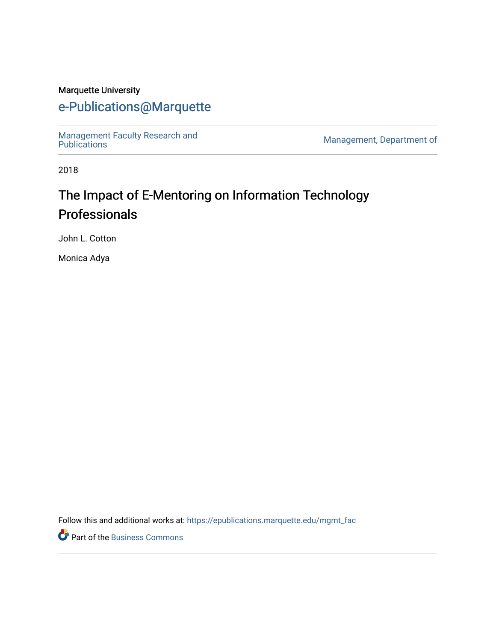#### Marquette University

# [e-Publications@Marquette](https://epublications.marquette.edu/)

[Management Faculty Research and](https://epublications.marquette.edu/mgmt_fac)  [Publications](https://epublications.marquette.edu/mgmt_fac) [Management, Department of](https://epublications.marquette.edu/mgmt) 

2018

# The Impact of E-Mentoring on Information Technology Professionals

John L. Cotton

Monica Adya

Follow this and additional works at: [https://epublications.marquette.edu/mgmt\\_fac](https://epublications.marquette.edu/mgmt_fac?utm_source=epublications.marquette.edu%2Fmgmt_fac%2F328&utm_medium=PDF&utm_campaign=PDFCoverPages) 

Part of the [Business Commons](http://network.bepress.com/hgg/discipline/622?utm_source=epublications.marquette.edu%2Fmgmt_fac%2F328&utm_medium=PDF&utm_campaign=PDFCoverPages)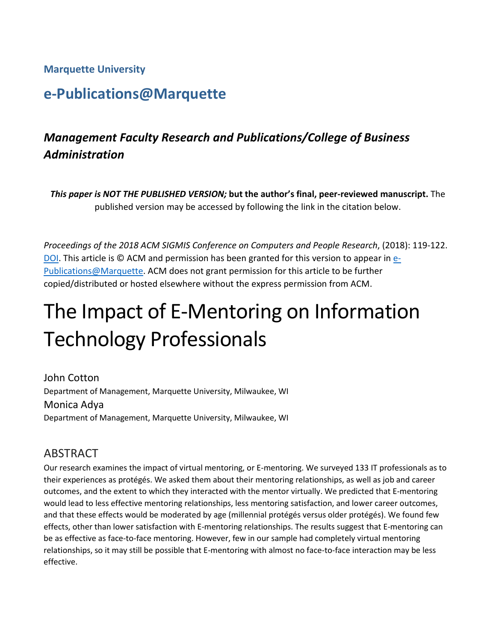#### **Marquette University**

# **e-Publications@Marquette**

# *Management Faculty Research and Publications/College of Business Administration*

*This paper is NOT THE PUBLISHED VERSION;* **but the author's final, peer-reviewed manuscript.** The published version may be accessed by following the link in the citation below.

*Proceedings of the 2018 ACM SIGMIS Conference on Computers and People Research*, (2018): 119-122. [DOI.](https://dl.acm.org/citation.cfm?doid=3209626.3209715) This article is © ACM and permission has been granted for this version to appear in [e-](http://epublications.marquette.edu/)[Publications@Marquette.](http://epublications.marquette.edu/) ACM does not grant permission for this article to be further copied/distributed or hosted elsewhere without the express permission from ACM.

# The Impact of E-Mentoring on Information Technology Professionals

John Cotton Department of Management, Marquette University, Milwaukee, WI Monica Adya Department of Management, Marquette University, Milwaukee, WI

## ABSTRACT

Our research examines the impact of virtual mentoring, or E-mentoring. We surveyed 133 IT professionals as to their experiences as protégés. We asked them about their mentoring relationships, as well as job and career outcomes, and the extent to which they interacted with the mentor virtually. We predicted that E-mentoring would lead to less effective mentoring relationships, less mentoring satisfaction, and lower career outcomes, and that these effects would be moderated by age (millennial protégés versus older protégés). We found few effects, other than lower satisfaction with E-mentoring relationships. The results suggest that E-mentoring can be as effective as face-to-face mentoring. However, few in our sample had completely virtual mentoring relationships, so it may still be possible that E-mentoring with almost no face-to-face interaction may be less effective.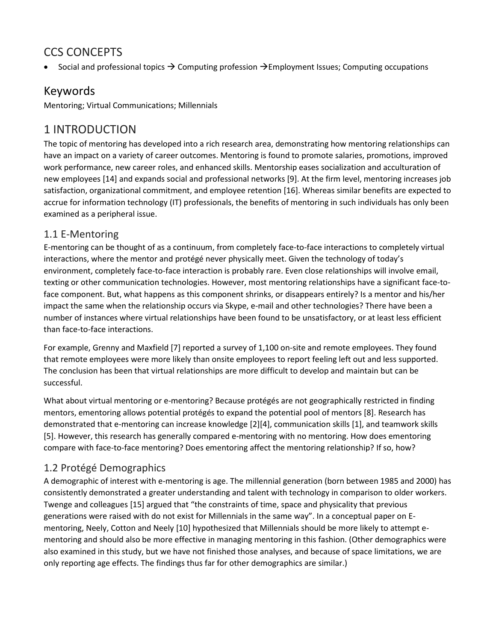# CCS CONCEPTS

Social and professional topics  $\rightarrow$  Computing profession  $\rightarrow$  Employment Issues; Computing occupations

# Keywords

Mentoring; Virtual Communications; Millennials

## 1 INTRODUCTION

The topic of mentoring has developed into a rich research area, demonstrating how mentoring relationships can have an impact on a variety of career outcomes. Mentoring is found to promote salaries, promotions, improved work performance, new career roles, and enhanced skills. Mentorship eases socialization and acculturation of new employees [14] and expands social and professional networks [9]. At the firm level, mentoring increases job satisfaction, organizational commitment, and employee retention [16]. Whereas similar benefits are expected to accrue for information technology (IT) professionals, the benefits of mentoring in such individuals has only been examined as a peripheral issue.

#### 1.1 E-Mentoring

E-mentoring can be thought of as a continuum, from completely face-to-face interactions to completely virtual interactions, where the mentor and protégé never physically meet. Given the technology of today's environment, completely face-to-face interaction is probably rare. Even close relationships will involve email, texting or other communication technologies. However, most mentoring relationships have a significant face-toface component. But, what happens as this component shrinks, or disappears entirely? Is a mentor and his/her impact the same when the relationship occurs via Skype, e-mail and other technologies? There have been a number of instances where virtual relationships have been found to be unsatisfactory, or at least less efficient than face-to-face interactions.

For example, Grenny and Maxfield [7] reported a survey of 1,100 on-site and remote employees. They found that remote employees were more likely than onsite employees to report feeling left out and less supported. The conclusion has been that virtual relationships are more difficult to develop and maintain but can be successful.

What about virtual mentoring or e-mentoring? Because protégés are not geographically restricted in finding mentors, ementoring allows potential protégés to expand the potential pool of mentors [8]. Research has demonstrated that e-mentoring can increase knowledge [2][4], communication skills [1], and teamwork skills [5]. However, this research has generally compared e-mentoring with no mentoring. How does ementoring compare with face-to-face mentoring? Does ementoring affect the mentoring relationship? If so, how?

## 1.2 Protégé Demographics

A demographic of interest with e-mentoring is age. The millennial generation (born between 1985 and 2000) has consistently demonstrated a greater understanding and talent with technology in comparison to older workers. Twenge and colleagues [15] argued that "the constraints of time, space and physicality that previous generations were raised with do not exist for Millennials in the same way". In a conceptual paper on Ementoring, Neely, Cotton and Neely [10] hypothesized that Millennials should be more likely to attempt ementoring and should also be more effective in managing mentoring in this fashion. (Other demographics were also examined in this study, but we have not finished those analyses, and because of space limitations, we are only reporting age effects. The findings thus far for other demographics are similar.)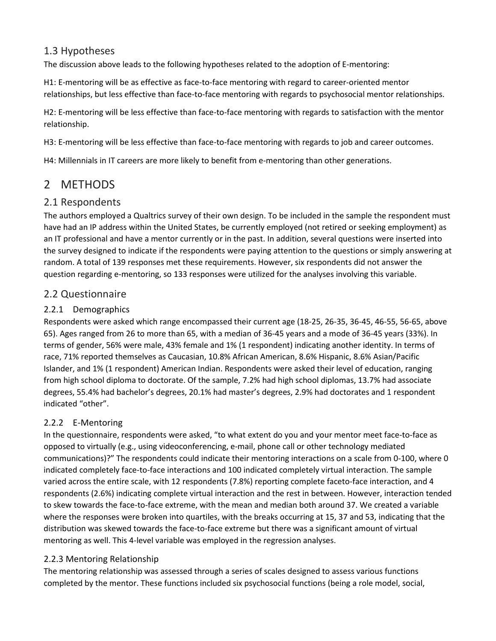#### 1.3 Hypotheses

The discussion above leads to the following hypotheses related to the adoption of E-mentoring:

H1: E-mentoring will be as effective as face-to-face mentoring with regard to career-oriented mentor relationships, but less effective than face-to-face mentoring with regards to psychosocial mentor relationships.

H2: E-mentoring will be less effective than face-to-face mentoring with regards to satisfaction with the mentor relationship.

H3: E-mentoring will be less effective than face-to-face mentoring with regards to job and career outcomes.

H4: Millennials in IT careers are more likely to benefit from e-mentoring than other generations.

# 2 METHODS

#### 2.1 Respondents

The authors employed a Qualtrics survey of their own design. To be included in the sample the respondent must have had an IP address within the United States, be currently employed (not retired or seeking employment) as an IT professional and have a mentor currently or in the past. In addition, several questions were inserted into the survey designed to indicate if the respondents were paying attention to the questions or simply answering at random. A total of 139 responses met these requirements. However, six respondents did not answer the question regarding e-mentoring, so 133 responses were utilized for the analyses involving this variable.

#### 2.2 Questionnaire

#### 2.2.1 Demographics

Respondents were asked which range encompassed their current age (18-25, 26-35, 36-45, 46-55, 56-65, above 65). Ages ranged from 26 to more than 65, with a median of 36-45 years and a mode of 36-45 years (33%). In terms of gender, 56% were male, 43% female and 1% (1 respondent) indicating another identity. In terms of race, 71% reported themselves as Caucasian, 10.8% African American, 8.6% Hispanic, 8.6% Asian/Pacific Islander, and 1% (1 respondent) American Indian. Respondents were asked their level of education, ranging from high school diploma to doctorate. Of the sample, 7.2% had high school diplomas, 13.7% had associate degrees, 55.4% had bachelor's degrees, 20.1% had master's degrees, 2.9% had doctorates and 1 respondent indicated "other".

#### 2.2.2 E-Mentoring

In the questionnaire, respondents were asked, "to what extent do you and your mentor meet face-to-face as opposed to virtually (e.g., using videoconferencing, e-mail, phone call or other technology mediated communications)?" The respondents could indicate their mentoring interactions on a scale from 0-100, where 0 indicated completely face-to-face interactions and 100 indicated completely virtual interaction. The sample varied across the entire scale, with 12 respondents (7.8%) reporting complete faceto-face interaction, and 4 respondents (2.6%) indicating complete virtual interaction and the rest in between. However, interaction tended to skew towards the face-to-face extreme, with the mean and median both around 37. We created a variable where the responses were broken into quartiles, with the breaks occurring at 15, 37 and 53, indicating that the distribution was skewed towards the face-to-face extreme but there was a significant amount of virtual mentoring as well. This 4-level variable was employed in the regression analyses.

#### 2.2.3 Mentoring Relationship

The mentoring relationship was assessed through a series of scales designed to assess various functions completed by the mentor. These functions included six psychosocial functions (being a role model, social,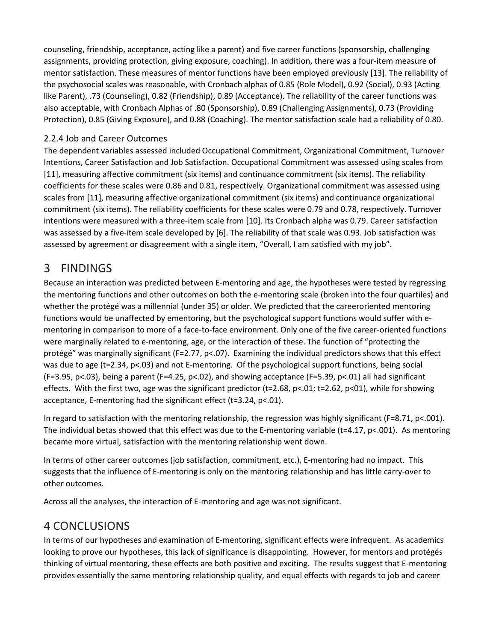counseling, friendship, acceptance, acting like a parent) and five career functions (sponsorship, challenging assignments, providing protection, giving exposure, coaching). In addition, there was a four-item measure of mentor satisfaction. These measures of mentor functions have been employed previously [13]. The reliability of the psychosocial scales was reasonable, with Cronbach alphas of 0.85 (Role Model), 0.92 (Social), 0.93 (Acting like Parent), .73 (Counseling), 0.82 (Friendship), 0.89 (Acceptance). The reliability of the career functions was also acceptable, with Cronbach Alphas of .80 (Sponsorship), 0.89 (Challenging Assignments), 0.73 (Providing Protection), 0.85 (Giving Exposure), and 0.88 (Coaching). The mentor satisfaction scale had a reliability of 0.80.

#### 2.2.4 Job and Career Outcomes

The dependent variables assessed included Occupational Commitment, Organizational Commitment, Turnover Intentions, Career Satisfaction and Job Satisfaction. Occupational Commitment was assessed using scales from [11], measuring affective commitment (six items) and continuance commitment (six items). The reliability coefficients for these scales were 0.86 and 0.81, respectively. Organizational commitment was assessed using scales from [11], measuring affective organizational commitment (six items) and continuance organizational commitment (six items). The reliability coefficients for these scales were 0.79 and 0.78, respectively. Turnover intentions were measured with a three-item scale from [10]. Its Cronbach alpha was 0.79. Career satisfaction was assessed by a five-item scale developed by [6]. The reliability of that scale was 0.93. Job satisfaction was assessed by agreement or disagreement with a single item, "Overall, I am satisfied with my job".

#### 3 FINDINGS

Because an interaction was predicted between E-mentoring and age, the hypotheses were tested by regressing the mentoring functions and other outcomes on both the e-mentoring scale (broken into the four quartiles) and whether the protégé was a millennial (under 35) or older. We predicted that the careeroriented mentoring functions would be unaffected by ementoring, but the psychological support functions would suffer with ementoring in comparison to more of a face-to-face environment. Only one of the five career-oriented functions were marginally related to e-mentoring, age, or the interaction of these. The function of "protecting the protégé" was marginally significant (F=2.77, p<.07). Examining the individual predictors shows that this effect was due to age (t=2.34, p<.03) and not E-mentoring. Of the psychological support functions, being social (F=3.95, p<.03), being a parent (F=4.25, p<.02), and showing acceptance (F=5.39, p<.01) all had significant effects. With the first two, age was the significant predictor (t=2.68, p<.01; t=2.62, p<01), while for showing acceptance, E-mentoring had the significant effect (t=3.24, p<.01).

In regard to satisfaction with the mentoring relationship, the regression was highly significant (F=8.71, p<.001). The individual betas showed that this effect was due to the E-mentoring variable (t=4.17, p<.001). As mentoring became more virtual, satisfaction with the mentoring relationship went down.

In terms of other career outcomes (job satisfaction, commitment, etc.), E-mentoring had no impact. This suggests that the influence of E-mentoring is only on the mentoring relationship and has little carry-over to other outcomes.

Across all the analyses, the interaction of E-mentoring and age was not significant.

## 4 CONCLUSIONS

In terms of our hypotheses and examination of E-mentoring, significant effects were infrequent. As academics looking to prove our hypotheses, this lack of significance is disappointing. However, for mentors and protégés thinking of virtual mentoring, these effects are both positive and exciting. The results suggest that E-mentoring provides essentially the same mentoring relationship quality, and equal effects with regards to job and career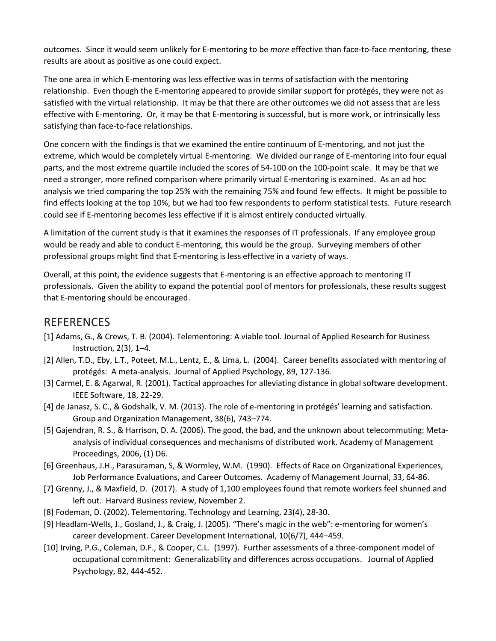outcomes. Since it would seem unlikely for E-mentoring to be *more* effective than face-to-face mentoring, these results are about as positive as one could expect.

The one area in which E-mentoring was less effective was in terms of satisfaction with the mentoring relationship. Even though the E-mentoring appeared to provide similar support for protégés, they were not as satisfied with the virtual relationship. It may be that there are other outcomes we did not assess that are less effective with E-mentoring. Or, it may be that E-mentoring is successful, but is more work, or intrinsically less satisfying than face-to-face relationships.

One concern with the findings is that we examined the entire continuum of E-mentoring, and not just the extreme, which would be completely virtual E-mentoring. We divided our range of E-mentoring into four equal parts, and the most extreme quartile included the scores of 54-100 on the 100-point scale. It may be that we need a stronger, more refined comparison where primarily virtual E-mentoring is examined. As an ad hoc analysis we tried comparing the top 25% with the remaining 75% and found few effects. It might be possible to find effects looking at the top 10%, but we had too few respondents to perform statistical tests. Future research could see if E-mentoring becomes less effective if it is almost entirely conducted virtually.

A limitation of the current study is that it examines the responses of IT professionals. If any employee group would be ready and able to conduct E-mentoring, this would be the group. Surveying members of other professional groups might find that E-mentoring is less effective in a variety of ways.

Overall, at this point, the evidence suggests that E-mentoring is an effective approach to mentoring IT professionals. Given the ability to expand the potential pool of mentors for professionals, these results suggest that E-mentoring should be encouraged.

## **REFERENCES**

- [1] Adams, G., & Crews, T. B. (2004). Telementoring: A viable tool. Journal of Applied Research for Business Instruction, 2(3), 1–4.
- [2] Allen, T.D., Eby, L.T., Poteet, M.L., Lentz, E., & Lima, L. (2004). Career benefits associated with mentoring of protégés: A meta-analysis. Journal of Applied Psychology, 89, 127-136.
- [3] Carmel, E. & Agarwal, R. (2001). Tactical approaches for alleviating distance in global software development. IEEE Software, 18, 22-29.
- [4] de Janasz, S. C., & Godshalk, V. M. (2013). The role of e-mentoring in protégés' learning and satisfaction. Group and Organization Management, 38(6), 743–774.
- [5] Gajendran, R. S., & Harrison, D. A. (2006). The good, the bad, and the unknown about telecommuting: Metaanalysis of individual consequences and mechanisms of distributed work. Academy of Management Proceedings, 2006, (1) D6.
- [6] Greenhaus, J.H., Parasuraman, S, & Wormley, W.M. (1990). Effects of Race on Organizational Experiences, Job Performance Evaluations, and Career Outcomes. Academy of Management Journal, 33, 64-86.
- [7] Grenny, J., & Maxfield, D. (2017). A study of 1,100 employees found that remote workers feel shunned and left out. Harvard Business review, November 2.
- [8] Fodeman, D. (2002). Telementoring. Technology and Learning, 23(4), 28-30.
- [9] Headlam-Wells, J., Gosland, J., & Craig, J. (2005). "There's magic in the web": e-mentoring for women's career development. Career Development International, 10(6/7), 444–459.
- [10] Irving, P.G., Coleman, D.F., & Cooper, C.L. (1997). Further assessments of a three-component model of occupational commitment: Generalizability and differences across occupations. Journal of Applied Psychology, 82, 444-452.